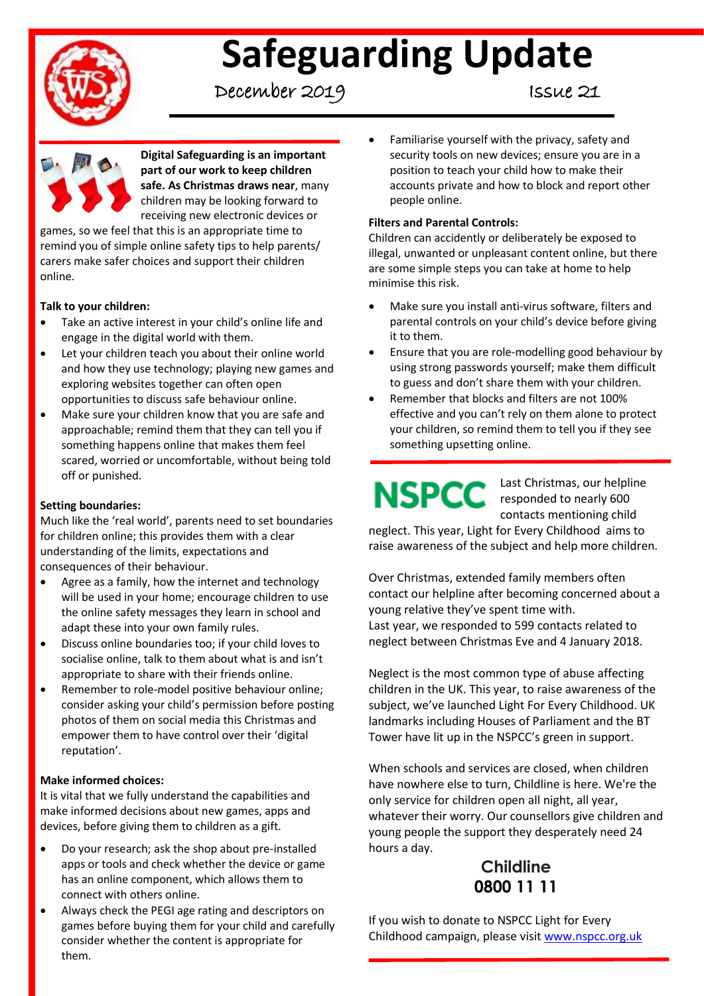

# **Safeguarding Update**

December 2019 Issue 21



**Digital Safeguarding is an important part of our work to keep children safe. As Christmas draws near**, many children may be looking forward to receiving new electronic devices or

games, so we feel that this is an appropriate time to remind you of simple online safety tips to help parents/ carers make safer choices and support their children online.

### **Talk to your children:**

- Take an active interest in your child's online life and engage in the digital world with them.
- Let your children teach you about their online world and how they use technology; playing new games and exploring websites together can often open opportunities to discuss safe behaviour online.
- Make sure your children know that you are safe and approachable; remind them that they can tell you if something happens online that makes them feel scared, worried or uncomfortable, without being told off or punished.

## **Setting boundaries:**

Much like the 'real world', parents need to set boundaries for children online; this provides them with a clear understanding of the limits, expectations and consequences of their behaviour.

- Agree as a family, how the internet and technology will be used in your home; encourage children to use the online safety messages they learn in school and adapt these into your own family rules.
- Discuss online boundaries too; if your child loves to socialise online, talk to them about what is and isn't appropriate to share with their friends online.
- Remember to role-model positive behaviour online; consider asking your child's permission before posting photos of them on social media this Christmas and empower them to have control over their 'digital reputation'.

#### **Make informed choices:**

It is vital that we fully understand the capabilities and make informed decisions about new games, apps and devices, before giving them to children as a gift.

- Do your research; ask the shop about pre-installed apps or tools and check whether the device or game has an online component, which allows them to connect with others online.
- Always check the PEGI age rating and descriptors on games before buying them for your child and carefully consider whether the content is appropriate for them.

 Familiarise yourself with the privacy, safety and security tools on new devices; ensure you are in a position to teach your child how to make their accounts private and how to block and report other people online.

### **Filters and Parental Controls:**

Children can accidently or deliberately be exposed to illegal, unwanted or unpleasant content online, but there are some simple steps you can take at home to help minimise this risk.

- Make sure you install anti-virus software, filters and parental controls on your child's device before giving it to them.
- Ensure that you are role-modelling good behaviour by using strong passwords yourself; make them difficult to guess and don't share them with your children.
- Remember that blocks and filters are not 100% effective and you can't rely on them alone to protect your children, so remind them to tell you if they see something upsetting online.

Last Christmas, our helpline NSPCC responded to nearly 600 contacts mentioning child

neglect. This year, Light for Every Childhood aims to raise awareness of the subject and help more children.

Over Christmas, extended family members often contact our helpline after becoming concerned about a young relative they've spent time with. Last year, we responded to 599 contacts related to neglect between Christmas Eve and 4 January 2018.

Neglect is the most common type of abuse affecting children in the UK. This year, to raise awareness of the subject, we've launched Light For Every Childhood. UK landmarks including Houses of Parliament and the BT Tower have lit up in the NSPCC's green in support.

When schools and services are closed, when children have nowhere else to turn, Childline is here. We're the only service for children open all night, all year, whatever their worry. Our counsellors give children and young people the support they desperately need 24 hours a day.

# **Childline 0800 11 11**

If you wish to donate to NSPCC Light for Every Childhood campaign, please visit [www.nspcc.org.uk](http://www.nspcc.org.uk/)